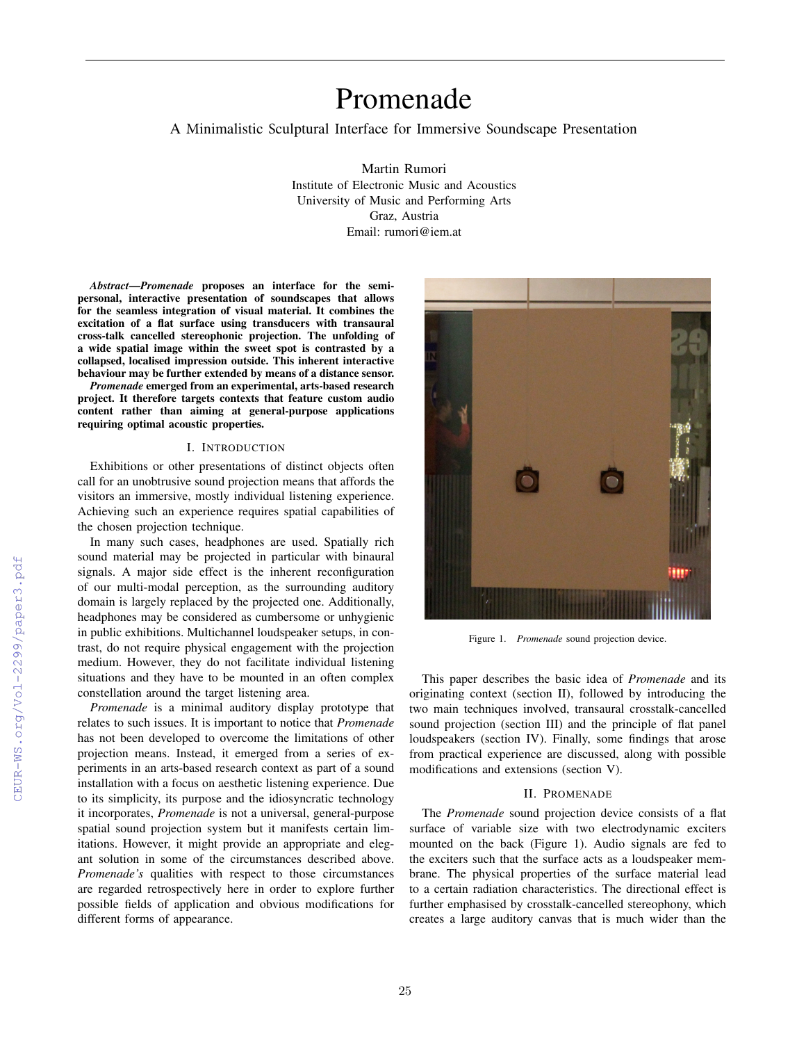# Promenade

A Minimalistic Sculptural Interface for Immersive Soundscape Presentation

Martin Rumori Institute of Electronic Music and Acoustics University of Music and Performing Arts Graz, Austria Email: rumori@iem.at

*Abstract*—*Promenade* proposes an interface for the semipersonal, interactive presentation of soundscapes that allows for the seamless integration of visual material. It combines the excitation of a flat surface using transducers with transaural cross-talk cancelled stereophonic projection. The unfolding of a wide spatial image within the sweet spot is contrasted by a collapsed, localised impression outside. This inherent interactive behaviour may be further extended by means of a distance sensor.

*Promenade* emerged from an experimental, arts-based research project. It therefore targets contexts that feature custom audio content rather than aiming at general-purpose applications requiring optimal acoustic properties.

#### I. INTRODUCTION

Exhibitions or other presentations of distinct objects often call for an unobtrusive sound projection means that affords the visitors an immersive, mostly individual listening experience. Achieving such an experience requires spatial capabilities of the chosen projection technique.

In many such cases, headphones are used. Spatially rich sound material may be projected in particular with binaural signals. A major side effect is the inherent reconfiguration of our multi-modal perception, as the surrounding auditory domain is largely replaced by the projected one. Additionally, headphones may be considered as cumbersome or unhygienic in public exhibitions. Multichannel loudspeaker setups, in contrast, do not require physical engagement with the projection medium. However, they do not facilitate individual listening situations and they have to be mounted in an often complex constellation around the target listening area.

*Promenade* is a minimal auditory display prototype that relates to such issues. It is important to notice that *Promenade* has not been developed to overcome the limitations of other projection means. Instead, it emerged from a series of experiments in an arts-based research context as part of a sound installation with a focus on aesthetic listening experience. Due to its simplicity, its purpose and the idiosyncratic technology it incorporates, *Promenade* is not a universal, general-purpose spatial sound projection system but it manifests certain limitations. However, it might provide an appropriate and elegant solution in some of the circumstances described above. *Promenade's* qualities with respect to those circumstances are regarded retrospectively here in order to explore further possible fields of application and obvious modifications for different forms of appearance.



Figure 1. *Promenade* sound projection device.

This paper describes the basic idea of *Promenade* and its originating context (section II), followed by introducing the two main techniques involved, transaural crosstalk-cancelled sound projection (section III) and the principle of flat panel loudspeakers (section IV). Finally, some findings that arose from practical experience are discussed, along with possible modifications and extensions (section V).

## II. PROMENADE

The *Promenade* sound projection device consists of a flat surface of variable size with two electrodynamic exciters mounted on the back (Figure 1). Audio signals are fed to the exciters such that the surface acts as a loudspeaker membrane. The physical properties of the surface material lead to a certain radiation characteristics. The directional effect is further emphasised by crosstalk-cancelled stereophony, which creates a large auditory canvas that is much wider than the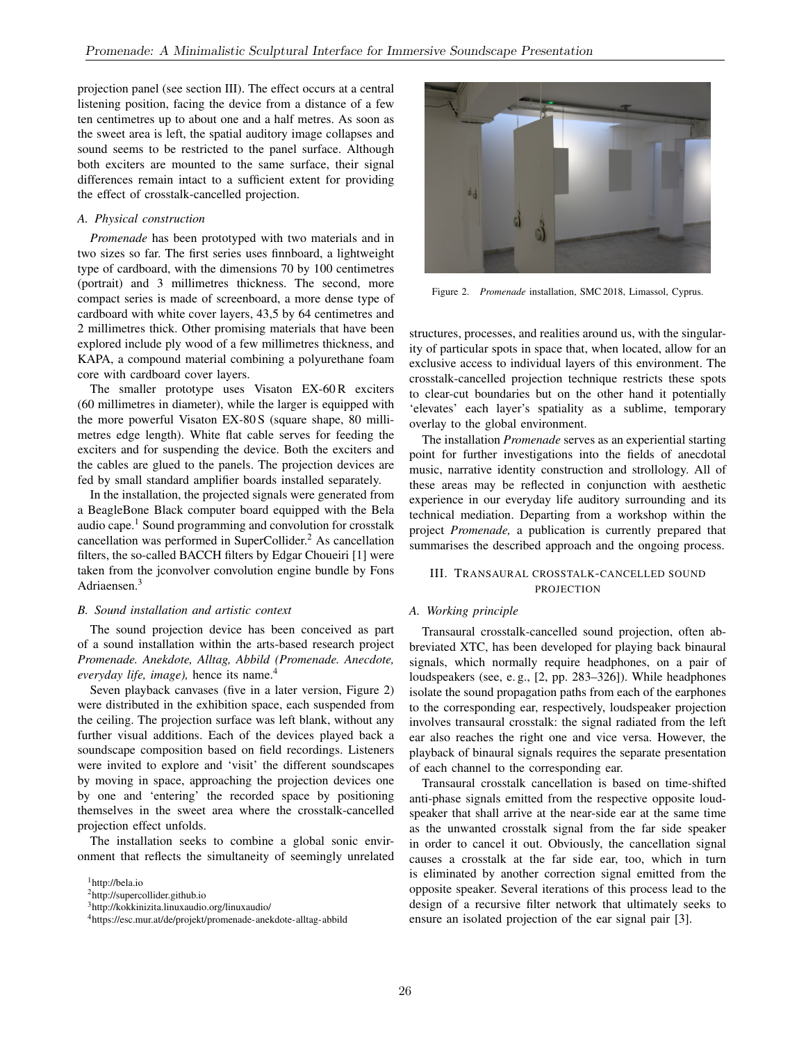projection panel (see section III). The effect occurs at a central listening position, facing the device from a distance of a few ten centimetres up to about one and a half metres. As soon as the sweet area is left, the spatial auditory image collapses and sound seems to be restricted to the panel surface. Although both exciters are mounted to the same surface, their signal differences remain intact to a sufficient extent for providing the effect of crosstalk-cancelled projection.

## *A. Physical construction*

*Promenade* has been prototyped with two materials and in two sizes so far. The first series uses finnboard, a lightweight type of cardboard, with the dimensions 70 by 100 centimetres (portrait) and 3 millimetres thickness. The second, more compact series is made of screenboard, a more dense type of cardboard with white cover layers, 43,5 by 64 centimetres and 2 millimetres thick. Other promising materials that have been explored include ply wood of a few millimetres thickness, and KAPA, a compound material combining a polyurethane foam core with cardboard cover layers.

The smaller prototype uses Visaton EX-60R exciters (60 millimetres in diameter), while the larger is equipped with the more powerful Visaton EX-80 S (square shape, 80 millimetres edge length). White flat cable serves for feeding the exciters and for suspending the device. Both the exciters and the cables are glued to the panels. The projection devices are fed by small standard amplifier boards installed separately.

In the installation, the projected signals were generated from a BeagleBone Black computer board equipped with the Bela audio cape.<sup>1</sup> Sound programming and convolution for crosstalk cancellation was performed in SuperCollider.<sup>2</sup> As cancellation filters, the so-called BACCH filters by Edgar Choueiri [1] were taken from the jconvolver convolution engine bundle by Fons Adriaensen.<sup>3</sup>

## *B. Sound installation and artistic context*

The sound projection device has been conceived as part of a sound installation within the arts-based research project *Promenade. Anekdote, Alltag, Abbild (Promenade. Anecdote, everyday life, image),* hence its name.<sup>4</sup>

Seven playback canvases (five in a later version, Figure 2) were distributed in the exhibition space, each suspended from the ceiling. The projection surface was left blank, without any further visual additions. Each of the devices played back a soundscape composition based on field recordings. Listeners were invited to explore and 'visit' the different soundscapes by moving in space, approaching the projection devices one by one and 'entering' the recorded space by positioning themselves in the sweet area where the crosstalk-cancelled projection effect unfolds.

The installation seeks to combine a global sonic environment that reflects the simultaneity of seemingly unrelated



Figure 2. *Promenade* installation, SMC 2018, Limassol, Cyprus.

structures, processes, and realities around us, with the singularity of particular spots in space that, when located, allow for an exclusive access to individual layers of this environment. The crosstalk-cancelled projection technique restricts these spots to clear-cut boundaries but on the other hand it potentially 'elevates' each layer's spatiality as a sublime, temporary overlay to the global environment.

The installation *Promenade* serves as an experiential starting point for further investigations into the fields of anecdotal music, narrative identity construction and strollology. All of these areas may be reflected in conjunction with aesthetic experience in our everyday life auditory surrounding and its technical mediation. Departing from a workshop within the project *Promenade,* a publication is currently prepared that summarises the described approach and the ongoing process.

## III. TRANSAURAL CROSSTALK-CANCELLED SOUND **PROJECTION**

#### *A. Working principle*

Transaural crosstalk-cancelled sound projection, often abbreviated XTC, has been developed for playing back binaural signals, which normally require headphones, on a pair of loudspeakers (see, e. g., [2, pp. 283–326]). While headphones isolate the sound propagation paths from each of the earphones to the corresponding ear, respectively, loudspeaker projection involves transaural crosstalk: the signal radiated from the left ear also reaches the right one and vice versa. However, the playback of binaural signals requires the separate presentation of each channel to the corresponding ear.

Transaural crosstalk cancellation is based on time-shifted anti-phase signals emitted from the respective opposite loudspeaker that shall arrive at the near-side ear at the same time as the unwanted crosstalk signal from the far side speaker in order to cancel it out. Obviously, the cancellation signal causes a crosstalk at the far side ear, too, which in turn is eliminated by another correction signal emitted from the opposite speaker. Several iterations of this process lead to the design of a recursive filter network that ultimately seeks to ensure an isolated projection of the ear signal pair [3].

<sup>&</sup>lt;sup>1</sup>http://bela.io

<sup>2</sup>http://supercollider.github.io

<sup>3</sup>http://kokkinizita.linuxaudio.org/linuxaudio/

<sup>4</sup>https://esc.mur.at/de/projekt/promenade-anekdote-alltag-abbild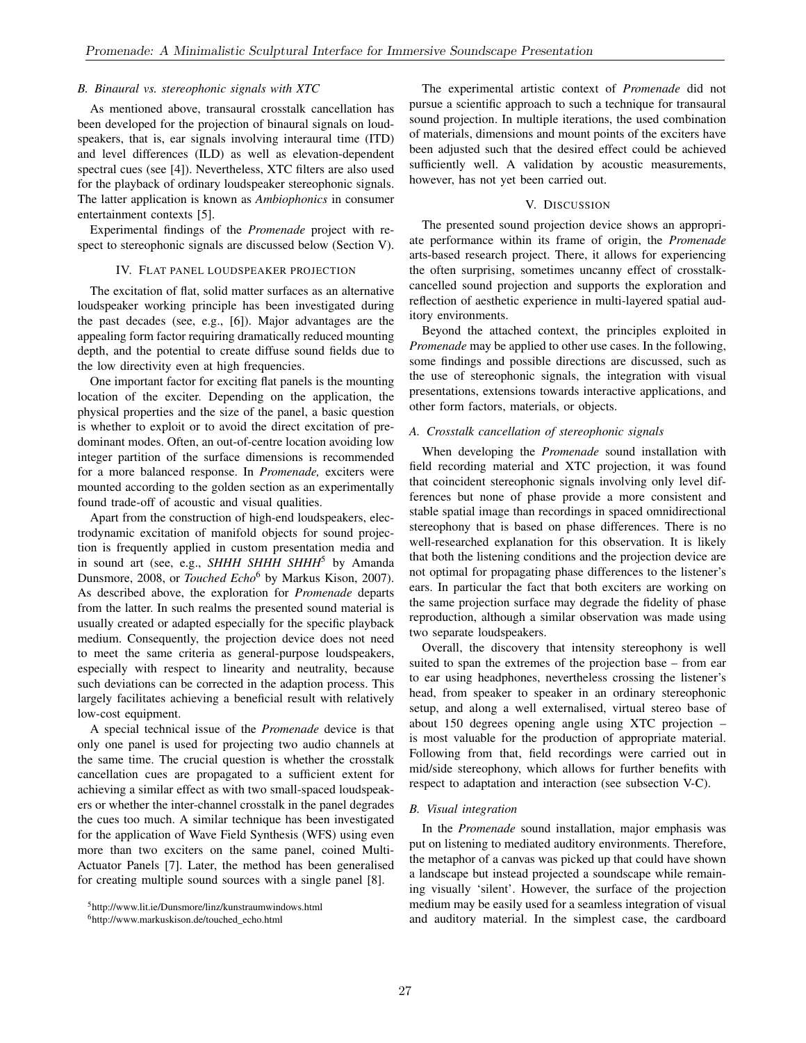## *B. Binaural vs. stereophonic signals with XTC*

As mentioned above, transaural crosstalk cancellation has been developed for the projection of binaural signals on loudspeakers, that is, ear signals involving interaural time (ITD) and level differences (ILD) as well as elevation-dependent spectral cues (see [4]). Nevertheless, XTC filters are also used for the playback of ordinary loudspeaker stereophonic signals. The latter application is known as *Ambiophonics* in consumer entertainment contexts [5].

Experimental findings of the *Promenade* project with respect to stereophonic signals are discussed below (Section V).

#### IV. FLAT PANEL LOUDSPEAKER PROJECTION

The excitation of flat, solid matter surfaces as an alternative loudspeaker working principle has been investigated during the past decades (see, e.g., [6]). Major advantages are the appealing form factor requiring dramatically reduced mounting depth, and the potential to create diffuse sound fields due to the low directivity even at high frequencies.

One important factor for exciting flat panels is the mounting location of the exciter. Depending on the application, the physical properties and the size of the panel, a basic question is whether to exploit or to avoid the direct excitation of predominant modes. Often, an out-of-centre location avoiding low integer partition of the surface dimensions is recommended for a more balanced response. In *Promenade,* exciters were mounted according to the golden section as an experimentally found trade-off of acoustic and visual qualities.

Apart from the construction of high-end loudspeakers, electrodynamic excitation of manifold objects for sound projection is frequently applied in custom presentation media and in sound art (see, e.g., *SHHH SHHH SHHH*<sup>5</sup> by Amanda Dunsmore, 2008, or *Touched Echo*<sup>6</sup> by Markus Kison, 2007). As described above, the exploration for *Promenade* departs from the latter. In such realms the presented sound material is usually created or adapted especially for the specific playback medium. Consequently, the projection device does not need to meet the same criteria as general-purpose loudspeakers, especially with respect to linearity and neutrality, because such deviations can be corrected in the adaption process. This largely facilitates achieving a beneficial result with relatively low-cost equipment.

A special technical issue of the *Promenade* device is that only one panel is used for projecting two audio channels at the same time. The crucial question is whether the crosstalk cancellation cues are propagated to a sufficient extent for achieving a similar effect as with two small-spaced loudspeakers or whether the inter-channel crosstalk in the panel degrades the cues too much. A similar technique has been investigated for the application of Wave Field Synthesis (WFS) using even more than two exciters on the same panel, coined Multi-Actuator Panels [7]. Later, the method has been generalised for creating multiple sound sources with a single panel [8].

The experimental artistic context of *Promenade* did not pursue a scientific approach to such a technique for transaural sound projection. In multiple iterations, the used combination of materials, dimensions and mount points of the exciters have been adjusted such that the desired effect could be achieved sufficiently well. A validation by acoustic measurements, however, has not yet been carried out.

## V. DISCUSSION

The presented sound projection device shows an appropriate performance within its frame of origin, the *Promenade* arts-based research project. There, it allows for experiencing the often surprising, sometimes uncanny effect of crosstalkcancelled sound projection and supports the exploration and reflection of aesthetic experience in multi-layered spatial auditory environments.

Beyond the attached context, the principles exploited in *Promenade* may be applied to other use cases. In the following, some findings and possible directions are discussed, such as the use of stereophonic signals, the integration with visual presentations, extensions towards interactive applications, and other form factors, materials, or objects.

#### *A. Crosstalk cancellation of stereophonic signals*

When developing the *Promenade* sound installation with field recording material and XTC projection, it was found that coincident stereophonic signals involving only level differences but none of phase provide a more consistent and stable spatial image than recordings in spaced omnidirectional stereophony that is based on phase differences. There is no well-researched explanation for this observation. It is likely that both the listening conditions and the projection device are not optimal for propagating phase differences to the listener's ears. In particular the fact that both exciters are working on the same projection surface may degrade the fidelity of phase reproduction, although a similar observation was made using two separate loudspeakers.

Overall, the discovery that intensity stereophony is well suited to span the extremes of the projection base – from ear to ear using headphones, nevertheless crossing the listener's head, from speaker to speaker in an ordinary stereophonic setup, and along a well externalised, virtual stereo base of about 150 degrees opening angle using XTC projection – is most valuable for the production of appropriate material. Following from that, field recordings were carried out in mid/side stereophony, which allows for further benefits with respect to adaptation and interaction (see subsection V-C).

#### *B. Visual integration*

In the *Promenade* sound installation, major emphasis was put on listening to mediated auditory environments. Therefore, the metaphor of a canvas was picked up that could have shown a landscape but instead projected a soundscape while remaining visually 'silent'. However, the surface of the projection medium may be easily used for a seamless integration of visual and auditory material. In the simplest case, the cardboard

<sup>5</sup>http://www.lit.ie/Dunsmore/linz/kunstraumwindows.html

<sup>6</sup>http://www.markuskison.de/touched\_echo.html